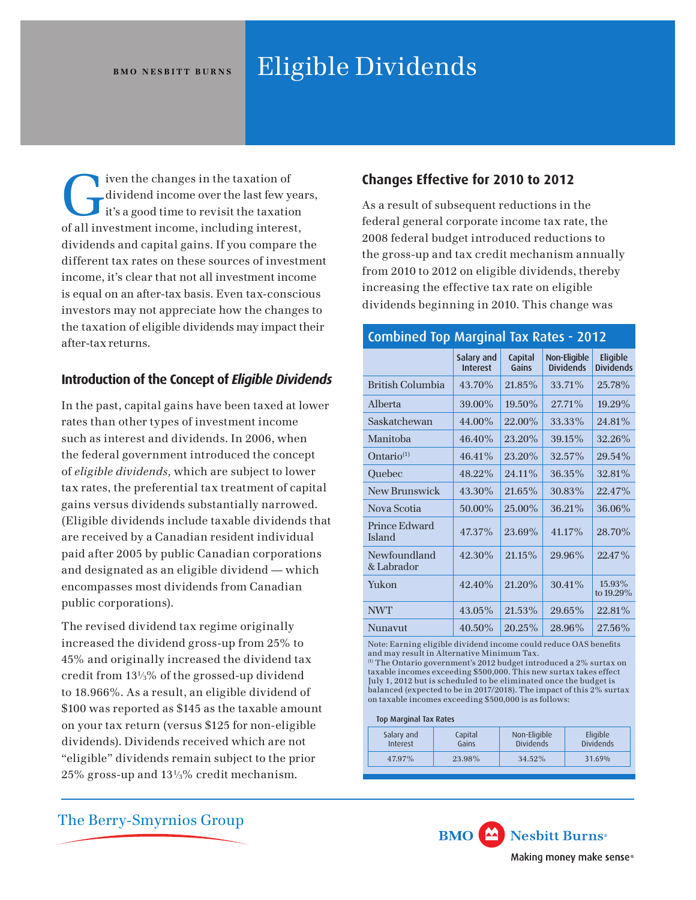# BMO NESBITT BURNS Eligible Dividends

The changes in the taxation of<br>dividend income over the last few year<br>it's a good time to revisit the taxation dividend income over the last few years, it's a good time to revisit the taxation of all investment income, including interest, dividends and capital gains. If you compare the different tax rates on these sources of investment income, it's clear that not all investment income is equal on an after-tax basis. Even tax-conscious investors may not appreciate how the changes to the taxation of eligible dividends may impact their after-tax returns.

# **Introduction of the Concept of** *Eligible Dividends*

In the past, capital gains have been taxed at lower rates than other types of investment income such as interest and dividends. In 2006, when the federal government introduced the concept of *eligible dividends,* which are subject to lower tax rates, the preferential tax treatment of capital gains versus dividends substantially narrowed. (Eligible dividends include taxable dividends that are received by a Canadian resident individual paid after 2005 by public Canadian corporations and designated as an eligible dividend — which encompasses most dividends from Canadian public corporations).

The revised dividend tax regime originally increased the dividend gross-up from 25% to 45% and originally increased the dividend tax credit from 131⁄3% of the grossed-up dividend to 18.966%. As a result, an eligible dividend of \$100 was reported as \$145 as the taxable amount on your tax return (versus \$125 for non-eligible dividends). Dividends received which are not "eligible" dividends remain subject to the prior 25% gross-up and 131⁄3% credit mechanism.

# **Changes Effective for 2010 to 2012**

As a result of subsequent reductions in the federal general corporate income tax rate, the 2008 federal budget introduced reductions to the gross-up and tax credit mechanism annually from 2010 to 2012 on eligible dividends, thereby increasing the effective tax rate on eligible dividends beginning in 2010. This change was

## Combined Top Marginal Tax Rates - 2012

|                            | Salary and<br><b>Interest</b> | Capital<br>Gains | Non-Eligible<br><b>Dividends</b> | Eligible<br><b>Dividends</b> |
|----------------------------|-------------------------------|------------------|----------------------------------|------------------------------|
| British Columbia           | 43.70%                        | 21.85%           | 33.71%                           | 25.78%                       |
| Alberta                    | 39.00%                        | $19.50\%$        | $27.71\%$                        | $19.29\%$                    |
| Saskatchewan               | 44.00%                        | 22.00%           | 33.33%                           | 24.81%                       |
| Manitoba                   | $46.40\%$                     | 23.20%           | 39.15%                           | 32.26%                       |
| Ontario <sup>(1)</sup>     | 46.41%                        | 23.20%           | 32.57%                           | 29.54%                       |
| Ouebec                     | 48.22%                        | 24.11%           | 36.35%                           | 32.81%                       |
| New Brunswick              | $43.30\%$                     | 21.65%           | 30.83%                           | 22.47%                       |
| Nova Scotia                | 50.00%                        | 25.00%           | 36.21%                           | 36.06%                       |
| Prince Edward<br>Island    | 47.37%                        | 23.69%           | 41.17%                           | 28.70%                       |
| Newfoundland<br>& Labrador | 42.30%                        | 21.15%           | 29.96%                           | 22.47%                       |
| Yukon                      | 42.40%                        | 21.20%           | 30.41%                           | 15.93%<br>to 19.29%          |
| <b>NWT</b>                 | 43.05%                        | 21.53%           | 29.65%                           | 22.81%                       |
| Nunavut                    | 40.50%                        | 20.25%           | 28.96%                           | 27.56%                       |

Note: Earning eligible dividend income could reduce OAS benefts and may result in Alternative Minimum Tax.

(1) The Ontario government's 2012 budget introduced a 2% surtax on taxable incomes exceeding \$500,000. This new surtax takes effect July 1, 2012 but is scheduled to be eliminated once the budget is balanced (expected to be in 2017/2018). The impact of this 2% surtax on taxable incomes exceeding \$500,000 is as follows:

#### Top Marginal Tax Rates

| Salary and<br>Interest | Capital<br>Gains | Non-Eligible<br><b>Dividends</b> | Eligible<br><b>Dividends</b> |
|------------------------|------------------|----------------------------------|------------------------------|
| 47.97%                 | 23.98%           | 34.52%                           | 31.69%                       |
|                        |                  |                                  |                              |

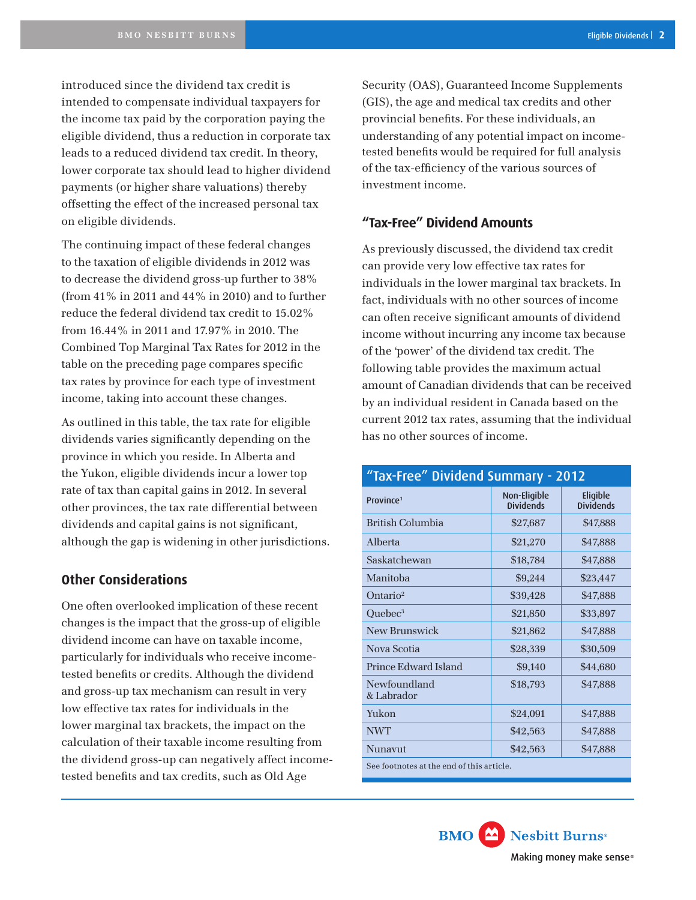introduced since the dividend tax credit is intended to compensate individual taxpayers for the income tax paid by the corporation paying the eligible dividend, thus a reduction in corporate tax leads to a reduced dividend tax credit. In theory, lower corporate tax should lead to higher dividend payments (or higher share valuations) thereby offsetting the effect of the increased personal tax on eligible dividends.

The continuing impact of these federal changes to the taxation of eligible dividends in 2012 was to decrease the dividend gross-up further to 38% (from 41% in 2011 and 44% in 2010) and to further reduce the federal dividend tax credit to 15.02% from 16.44% in 2011 and 17.97% in 2010. The Combined Top Marginal Tax Rates for 2012 in the table on the preceding page compares specifc tax rates by province for each type of investment income, taking into account these changes.

As outlined in this table, the tax rate for eligible dividends varies signifcantly depending on the province in which you reside. In Alberta and the Yukon, eligible dividends incur a lower top rate of tax than capital gains in 2012. In several other provinces, the tax rate differential between dividends and capital gains is not signifcant, although the gap is widening in other jurisdictions.

## **Other Considerations**

One often overlooked implication of these recent changes is the impact that the gross-up of eligible dividend income can have on taxable income, particularly for individuals who receive incometested benefts or credits. Although the dividend and gross-up tax mechanism can result in very low effective tax rates for individuals in the lower marginal tax brackets, the impact on the calculation of their taxable income resulting from the dividend gross-up can negatively affect incometested benefts and tax credits, such as Old Age

Security (OAS), Guaranteed Income Supplements (GIS), the age and medical tax credits and other provincial benefts. For these individuals, an understanding of any potential impact on incometested benefts would be required for full analysis of the tax-effciency of the various sources of investment income.

## **"Tax-Free" Dividend Amounts**

As previously discussed, the dividend tax credit can provide very low effective tax rates for individuals in the lower marginal tax brackets. In fact, individuals with no other sources of income can often receive signifcant amounts of dividend income without incurring any income tax because of the 'power' of the dividend tax credit. The following table provides the maximum actual amount of Canadian dividends that can be received by an individual resident in Canada based on the current 2012 tax rates, assuming that the individual has no other sources of income.

| "Tax-Free" Dividend Summary - 2012        |                                  |                              |  |  |  |
|-------------------------------------------|----------------------------------|------------------------------|--|--|--|
| Province <sup>1</sup>                     | Non-Eligible<br><b>Dividends</b> | Eligible<br><b>Dividends</b> |  |  |  |
| <b>British Columbia</b>                   | \$27,687                         | \$47,888                     |  |  |  |
| Alberta                                   | \$21,270                         | \$47,888                     |  |  |  |
| Saskatchewan                              | \$18,784                         | \$47,888                     |  |  |  |
| Manitoba                                  | \$9,244                          | \$23,447                     |  |  |  |
| Ontario <sup>2</sup>                      | \$39,428                         | \$47,888                     |  |  |  |
| Quebec <sup>3</sup>                       | \$21,850                         | \$33,897                     |  |  |  |
| New Brunswick                             | \$21,862                         | \$47,888                     |  |  |  |
| Nova Scotia                               | \$28,339                         | \$30,509                     |  |  |  |
| Prince Edward Island                      | \$9,140                          | \$44,680                     |  |  |  |
| Newfoundland<br>& Labrador                | \$18,793                         | \$47,888                     |  |  |  |
| Yukon                                     | \$24,091                         | \$47,888                     |  |  |  |
| <b>NWT</b>                                | \$42,563                         | \$47,888                     |  |  |  |
| Nunavut                                   | \$42,563                         | \$47,888                     |  |  |  |
| See footnotes at the end of this article. |                                  |                              |  |  |  |

**BMO** Nesbitt Burns<sup>®</sup> Making money make sense®